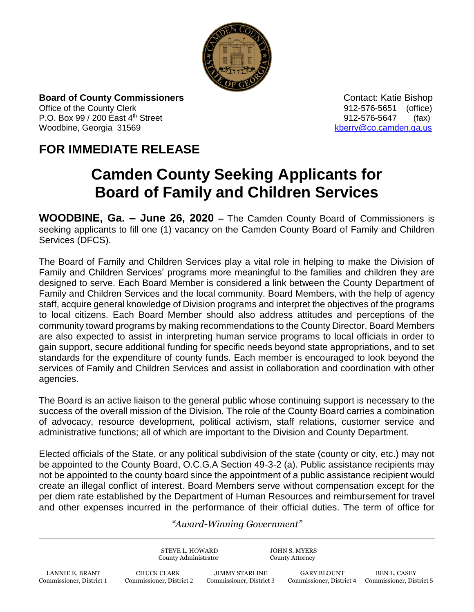

**Board of County Commissioners Contact: Katie Bishop** Contact: Katie Bishop Office of the County Clerk 61 and 2012-576-5651 (office) P.O. Box 99 / 200 East 4<sup>th</sup> Street 912-576-5647 (fax) Woodbine, Georgia 31569 [kberry@co.camden.ga.us](mailto:kberry@co.camden.ga.us)

## **FOR IMMEDIATE RELEASE**

## **Camden County Seeking Applicants for Board of Family and Children Services**

**WOODBINE, Ga. – June 26, 2020 –** The Camden County Board of Commissioners is seeking applicants to fill one (1) vacancy on the Camden County Board of Family and Children Services (DFCS).

The Board of Family and Children Services play a vital role in helping to make the Division of Family and Children Services' programs more meaningful to the families and children they are designed to serve. Each Board Member is considered a link between the County Department of Family and Children Services and the local community. Board Members, with the help of agency staff, acquire general knowledge of Division programs and interpret the objectives of the programs to local citizens. Each Board Member should also address attitudes and perceptions of the community toward programs by making recommendations to the County Director. Board Members are also expected to assist in interpreting human service programs to local officials in order to gain support, secure additional funding for specific needs beyond state appropriations, and to set standards for the expenditure of county funds. Each member is encouraged to look beyond the services of Family and Children Services and assist in collaboration and coordination with other agencies.

The Board is an active liaison to the general public whose continuing support is necessary to the success of the overall mission of the Division. The role of the County Board carries a combination of advocacy, resource development, political activism, staff relations, customer service and administrative functions; all of which are important to the Division and County Department.

Elected officials of the State, or any political subdivision of the state (county or city, etc.) may not be appointed to the County Board, O.C.G.A Section 49-3-2 (a). Public assistance recipients may not be appointed to the county board since the appointment of a public assistance recipient would create an illegal conflict of interest. Board Members serve without compensation except for the per diem rate established by the Department of Human Resources and reimbursement for travel and other expenses incurred in the performance of their official duties. The term of office for

## *"Award-Winning Government"*

STEVE L. HOWARD JOHN S. MYERS County Administrator County Attorney LANNIE E. BRANT CHUCK CLARK JIMMY STARLINE GARY BLOUNT BEN L. CASEY<br>2 Commissioner, District 1 Commissioner, District 2 Commissioner, District 3 Commissioner, District 4 Commissioner, Dist

Commissioner, District 1 Commissioner, District 2 Commissioner, District 3 Commissioner, District 4 Commissioner, District 5